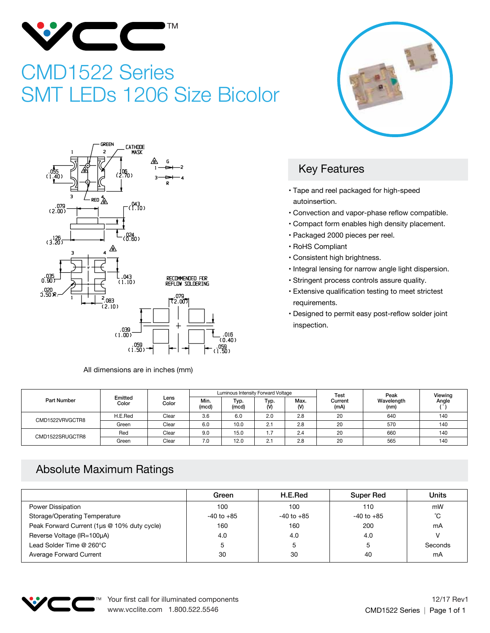

## CMD1522 Series SMT LEDs 1206 Size Bicolor





All dimensions are in inches (mm)

## Key Features

- Tape and reel packaged for high-speed autoinsertion.
- Convection and vapor-phase reflow compatible.
- Compact form enables high density placement.
- Packaged 2000 pieces per reel.
- RoHS Compliant
- Consistent high brightness.
- Integral lensing for narrow angle light dispersion.
- Stringent process controls assure quality.
- Extensive qualification testing to meet strictest requirements.
- Designed to permit easy post-reflow solder joint inspection.

|                    | Emitted<br>Color | Lens<br>Color | Luminous Intensity Forward Voltage |               |             |           | Test            | Peak               | Viewing |
|--------------------|------------------|---------------|------------------------------------|---------------|-------------|-----------|-----------------|--------------------|---------|
| <b>Part Number</b> |                  |               | Min.<br>(mcd)                      | Typ.<br>(mcd) | Typ.<br>(V) | Max.<br>M | Current<br>(mA) | Wavelength<br>(nm) | Angle   |
| CMD1522VRVGCTR8    | H.E.Red          | Clear         | 3.6                                | 6.0           | 2.0         | 2.8       | 20              | 640                | 140     |
|                    | Green            | Clear         | 6.0                                | 10.0          | 2.1         | 2.8       | 20              | 570                | 140     |
| CMD1522SRUGCTR8    | Red              | Clear         | 9.0                                | 15.0          | . .         | 2.4       | 20              | 660                | 140     |
|                    | Green            | Clear         | 7.0                                | 12.0          | 2.1         | 2.8       | 20              | 565                | 140     |

## Absolute Maximum Ratings

|                                             | Green          | H.E.Red        | Super Red      | Units   |
|---------------------------------------------|----------------|----------------|----------------|---------|
| Power Dissipation                           | 100            | 100            | 110            | mW      |
| <b>Storage/Operating Temperature</b>        | $-40$ to $+85$ | $-40$ to $+85$ | $-40$ to $+85$ | °С      |
| Peak Forward Current (1µs @ 10% duty cycle) | 160            | 160            | 200            | mA      |
| Reverse Voltage (IR=100µA)                  | 4.0            | 4.0            | 4.0            |         |
| Lead Solder Time @ 260°C                    |                |                | 5              | Seconds |
| Average Forward Current                     | 30             | 30             | 40             | mA      |